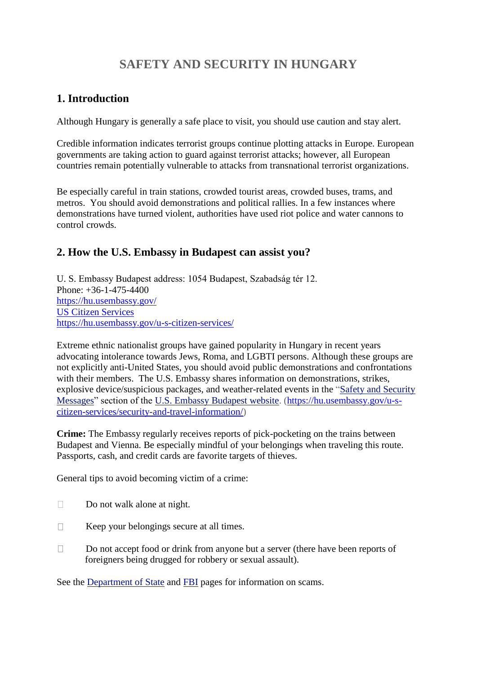# **SAFETY AND SECURITY IN HUNGARY**

## **1. Introduction**

Although Hungary is generally a safe place to visit, you should use caution and stay alert.

Credible information indicates terrorist groups continue plotting attacks in Europe. European governments are taking action to guard against terrorist attacks; however, all European countries remain potentially vulnerable to attacks from transnational terrorist organizations.

Be especially careful in train stations, crowded tourist areas, crowded buses, trams, and metros. You should avoid demonstrations and political rallies. In a few instances where demonstrations have turned violent, authorities have used riot police and water cannons to control crowds.

## **2. How the U.S. Embassy in Budapest can assist you?**

U. S. Embassy Budapest address: 1054 Budapest, Szabadság tér 12. Phone: +36-1-475-4400 <https://hu.usembassy.gov/> [US Citizen Services](https://www.google.hu/url?sa=t&rct=j&q=&esrc=s&source=web&cd=2&ved=0ahUKEwjK1-Hi7YPWAhXQaVAKHbGbDPQQjBAILzAB&url=https%3A%2F%2Fhu.usembassy.gov%2Fu-s-citizen-services%2F&usg=AFQjCNHVXRGO4roLdXX5YwBjU5NwFXeNzQ) <https://hu.usembassy.gov/u-s-citizen-services/>

Extreme ethnic nationalist groups have gained popularity in Hungary in recent years advocating intolerance towards Jews, Roma, and LGBTI persons. Although these groups are not explicitly anti-United States, you should avoid public demonstrations and confrontations with their members. The U.S. Embassy shares information on demonstrations, strikes, explosive device/suspicious packages, and weather-related events in the ["Safety and Security](https://hu.usembassy.gov/u-s-citizen-services/security-and-travel-information/)  [Messages"](https://hu.usembassy.gov/u-s-citizen-services/security-and-travel-information/) section of the [U.S. Embassy Budapest website.](https://hu.usembassy.gov/) [\(https://hu.usembassy.gov/u-s](https://hu.usembassy.gov/u-s-citizen-services/security-and-travel-information/)[citizen-services/security-and-travel-information/\)](https://hu.usembassy.gov/u-s-citizen-services/security-and-travel-information/)

**Crime:** The Embassy regularly receives reports of pick-pocketing on the trains between Budapest and Vienna. Be especially mindful of your belongings when traveling this route. Passports, cash, and credit cards are favorite targets of thieves.

General tips to avoid becoming victim of a crime:

- Do not walk alone at night.
- $\Box$  Keep your belongings secure at all times.
- $\Box$  Do not accept food or drink from anyone but a server (there have been reports of foreigners being drugged for robbery or sexual assault).

See the [Department of State](http://travel.state.gov/content/passports/english/emergencies/scams.html) and [FBI](http://www.fbi.gov/scams-safety/fraud) pages for information on scams.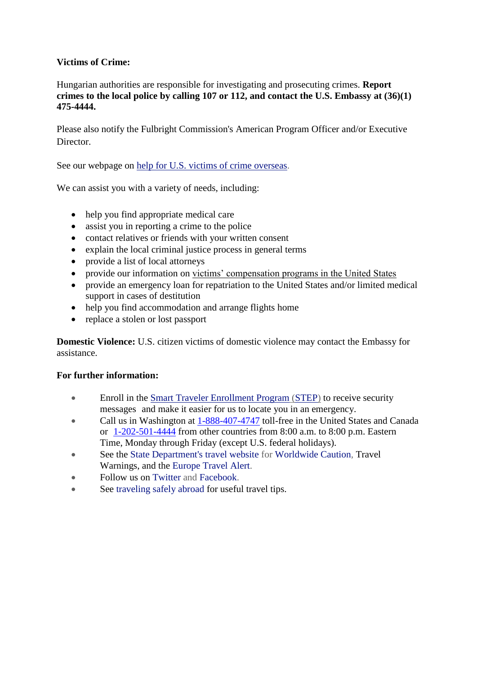#### **Victims of Crime:**

Hungarian authorities are responsible for investigating and prosecuting crimes. **Report crimes to the local police by calling 107 or 112, and contact the U.S. Embassy at (36)(1) 475-4444.**

Please also notify the Fulbright Commission's American Program Officer and/or Executive Director.

See our webpage on [help for U.S. victims of crime overseas.](http://travel.state.gov/content/passports/en/emergencies/victims.html)

We can assist you with a variety of needs, including:

- help you find appropriate medical care
- assist you in reporting a crime to the police
- contact relatives or friends with your written consent
- explain the local criminal justice process in general terms
- provide a list of local attorneys
- provide our information on [victims' compensation programs in the United States](http://travel.state.gov/content/passports/english/emergencies/victims.html)
- provide an emergency loan for repatriation to the United States and/or limited medical support in cases of destitution
- help you find accommodation and arrange flights home
- replace a stolen or lost passport

**Domestic Violence:** U.S. citizen victims of domestic violence may contact the Embassy for assistance.

#### **For further information:**

- Enroll in the [Smart Traveler Enrollment Program](https://step.state.gov/step/) [\(STEP\)](https://step.state.gov/step/) to receive security messages and make it easier for us to locate you in an emergency.
- Call us in Washington at [1-888-407-4747](tel:%28888%29%20407-4747) toll-free in the United States and Canada or [1-202-501-4444](tel:%28202%29%20501-4444) from other countries from 8:00 a.m. to 8:00 p.m. Eastern Time, Monday through Friday (except U.S. federal holidays).
- See the [State Department's travel website](http://travel.state.gov/) for [Worldwide Caution,](http://travel.state.gov/content/passports/english/alertswarnings/worldwide-caution.html) Travel Warnings, and the [Europe Travel Alert.](https://travel.state.gov/content/passports/en/alertswarnings/Europe.html)
- Follow us on [Twitter](http://twitter.com/travelgov) and [Facebook.](http://www.facebook.com/travelgov)
- See [traveling safely abroad](http://travel.state.gov/content/passports/english/go/checklist.html) for useful travel tips.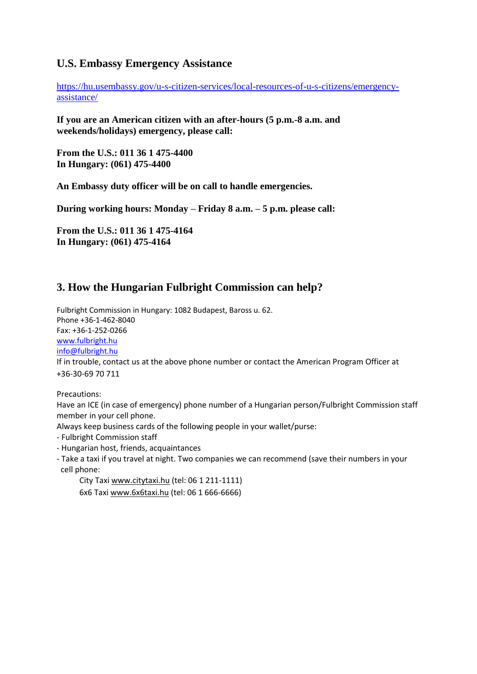#### **U.S. Embassy Emergency Assistance**

[https://hu.usembassy.gov/u-s-citizen-services/local-resources-of-u-s-citizens/emergency](https://hu.usembassy.gov/u-s-citizen-services/local-resources-of-u-s-citizens/emergency-assistance/)[assistance/](https://hu.usembassy.gov/u-s-citizen-services/local-resources-of-u-s-citizens/emergency-assistance/)

**If you are an American citizen with an after-hours (5 p.m.-8 a.m. and weekends/holidays) emergency, please call:**

**From the U.S.: 011 36 1 475-4400 In Hungary: (061) 475-4400**

**An Embassy duty officer will be on call to handle emergencies.**

**During working hours: Monday – Friday 8 a.m. – 5 p.m. please call:**

**From the U.S.: 011 36 1 475-4164 In Hungary: (061) 475-4164**

## **3. How the Hungarian Fulbright Commission can help?**

Fulbright Commission in Hungary: 1082 Budapest, Baross u. 62. Phone +36-1-462-8040 Fax: +36-1-252-0266 [www.fulbright.hu](file:///C:/Users/Test%20Center/AppData/Local/Temp/www.fulbright.hu) [info@fulbright.hu](mailto:info@fulbright.hu) If in trouble, contact us at the above phone number or contact the American Program Officer at +36-30-69 70 711

Precautions:

Have an ICE (in case of emergency) phone number of a Hungarian person/Fulbright Commission staff member in your cell phone.

Always keep business cards of the following people in your wallet/purse:

- Fulbright Commission staff
- Hungarian host, friends, acquaintances
- Take a taxi if you travel at night. Two companies we can recommend (save their numbers in your cell phone:

City Taxi [www.citytaxi.hu](http://www.citytaxi.hu/) (tel: 06 1 211-1111)

6x6 Taxi [www.6x6taxi.hu](http://www.6x6taxi.hu/) (tel: 06 1 666-6666)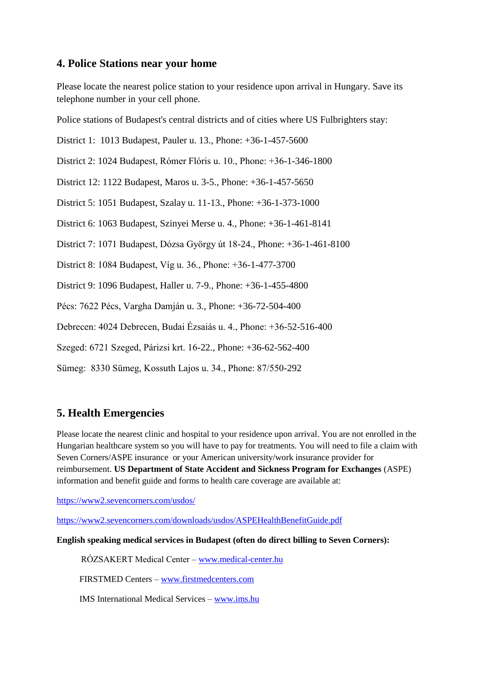#### **4. Police Stations near your home**

Please locate the nearest police station to your residence upon arrival in Hungary. Save its telephone number in your cell phone.

Police stations of Budapest's central districts and of cities where US Fulbrighters stay:

District 1: 1013 Budapest, Pauler u. 13., Phone: +36-1-457-5600

District 2: 1024 Budapest, Rómer Flóris u. 10., Phone: +36-1-346-1800

District 12: 1122 Budapest, Maros u. 3-5., Phone: +36-1-457-5650

District 5: 1051 Budapest, Szalay u. 11-13., Phone: +36-1-373-1000

District 6: 1063 Budapest, Szinyei Merse u. 4., Phone: +36-1-461-8141

District 7: 1071 Budapest, Dózsa György út 18-24., Phone: +36-1-461-8100

District 8: 1084 Budapest, Víg u. 36., Phone: +36-1-477-3700

District 9: 1096 Budapest, Haller u. 7-9., Phone: +36-1-455-4800

Pécs: 7622 Pécs, Vargha Damján u. 3., Phone: +36-72-504-400

Debrecen: 4024 Debrecen, Budai Ézsaiás u. 4., Phone: +36-52-516-400

Szeged: 6721 Szeged, Párizsi krt. 16-22., Phone: +36-62-562-400

Sümeg: 8330 Sümeg, Kossuth Lajos u. 34., Phone: 87/550-292

## **5. Health Emergencies**

Please locate the nearest clinic and hospital to your residence upon arrival. You are not enrolled in the Hungarian healthcare system so you will have to pay for treatments. You will need to file a claim with Seven Corners/ASPE insurance or your American university/work insurance provider for reimbursement. **US Department of State Accident and Sickness Program for Exchanges** (ASPE) information and benefit guide and forms to health care coverage are available at:

<https://www2.sevencorners.com/usdos/>

<https://www2.sevencorners.com/downloads/usdos/ASPEHealthBenefitGuide.pdf>

**English speaking medical services in Budapest (often do direct billing to Seven Corners):** 

RÓZSAKERT Medical Center – [www.medical-center.hu](file:///C:/Users/Test%20Center/AppData/Local/Temp/www.medical-center.hu)

FIRSTMED Centers – [www.firstmedcenters.com](file:///C:/Users/Test%20Center/AppData/Local/Temp/www.firstmedcenters.com)

IMS International Medical Services – [www.ims.hu](file:///C:/Users/Test%20Center/AppData/Local/Temp/www.ims.hu)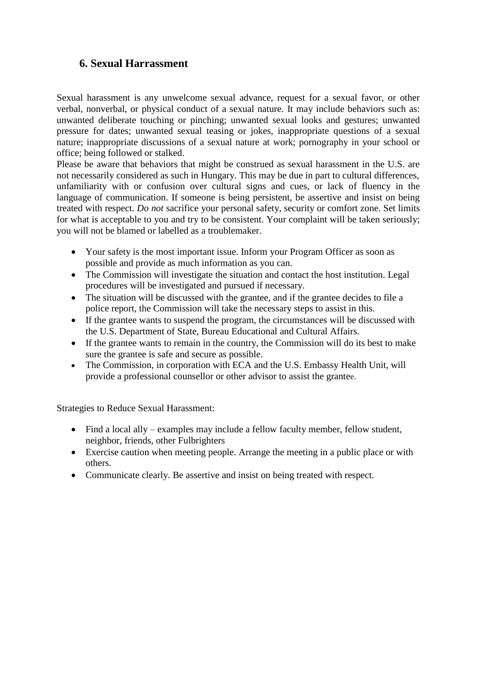### **6. Sexual Harrassment**

Sexual harassment is any unwelcome sexual advance, request for a sexual favor, or other verbal, nonverbal, or physical conduct of a sexual nature. It may include behaviors such as: unwanted deliberate touching or pinching; unwanted sexual looks and gestures; unwanted pressure for dates; unwanted sexual teasing or jokes, inappropriate questions of a sexual nature; inappropriate discussions of a sexual nature at work; pornography in your school or office; being followed or stalked.

Please be aware that behaviors that might be construed as sexual harassment in the U.S. are not necessarily considered as such in Hungary. This may be due in part to cultural differences, unfamiliarity with or confusion over cultural signs and cues, or lack of fluency in the language of communication. If someone is being persistent, be assertive and insist on being treated with respect. *Do not* sacrifice your personal safety, security or comfort zone. Set limits for what is acceptable to you and try to be consistent. Your complaint will be taken seriously; you will not be blamed or labelled as a troublemaker.

- Your safety is the most important issue. Inform your Program Officer as soon as possible and provide as much information as you can.
- The Commission will investigate the situation and contact the host institution. Legal procedures will be investigated and pursued if necessary.
- The situation will be discussed with the grantee, and if the grantee decides to file a police report, the Commission will take the necessary steps to assist in this.
- If the grantee wants to suspend the program, the circumstances will be discussed with the U.S. Department of State, Bureau Educational and Cultural Affairs.
- If the grantee wants to remain in the country, the Commission will do its best to make sure the grantee is safe and secure as possible.
- The Commission, in corporation with ECA and the U.S. Embassy Health Unit, will provide a professional counsellor or other advisor to assist the grantee.

Strategies to Reduce Sexual Harassment:

- Find a local ally examples may include a fellow faculty member, fellow student, neighbor, friends, other Fulbrighters
- Exercise caution when meeting people. Arrange the meeting in a public place or with others.
- Communicate clearly. Be assertive and insist on being treated with respect.